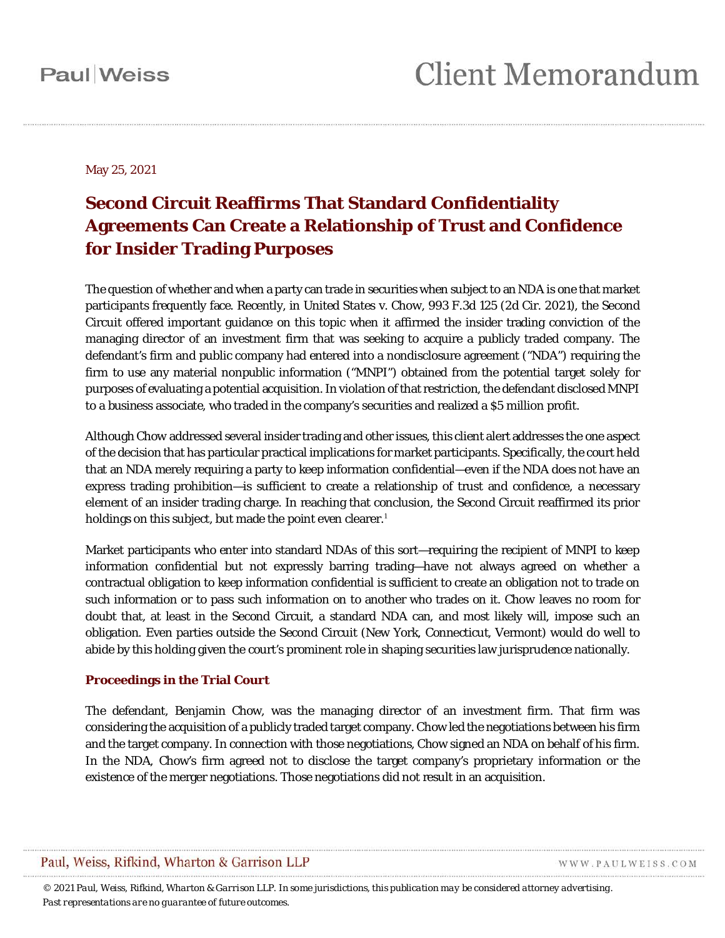May 25, 2021

### **Second Circuit Reaffirms That Standard Confidentiality Agreements Can Create a Relationship of Trust and Confidence for Insider Trading Purposes**

The question of whether and when a party can trade in securities when subject to an NDA is one that market participants frequently face. Recently, in *United States* v. *Chow*, 993 F.3d 125 (2d Cir. 2021), the Second Circuit offered important guidance on this topic when it affirmed the insider trading conviction of the managing director of an investment firm that was seeking to acquire a publicly traded company. The defendant's firm and public company had entered into a nondisclosure agreement ("NDA") requiring the firm to use any material nonpublic information ("MNPI") obtained from the potential target *solely* for purposes of evaluating a potential acquisition. In violation of that restriction, the defendant disclosed MNPI to a business associate, who traded in the company's securities and realized a \$5 million profit.

Although *Chow* addressed several insider trading and other issues, this client alert addresses the one aspect of the decision that has particular practical implications for market participants. Specifically, the court held that an NDA merely requiring a party to keep information confidential—even if the NDA does not have an express trading prohibition—is sufficient to create a relationship of trust and confidence, a necessary element of an insider trading charge. In reaching that conclusion, the Second Circuit reaffirmed its prior holdings on this subject, but made the point even clearer. [1](#page-3-0)

Market participants who enter into standard NDAs of this sort—requiring the recipient of MNPI to keep information confidential but not expressly barring trading—have not always agreed on whether a contractual obligation to keep information confidential is sufficient to create an obligation not to trade on such information or to pass such information on to another who trades on it. *Chow* leaves no room for doubt that, at least in the Second Circuit, a standard NDA can, and most likely will, impose such an obligation. Even parties outside the Second Circuit (New York, Connecticut, Vermont) would do well to abide by this holding given the court's prominent role in shaping securities law jurisprudence nationally.

#### **Proceedings in the Trial Court**

The defendant, Benjamin Chow, was the managing director of an investment firm. That firm was considering the acquisition of a publicly traded target company. Chow led the negotiations between his firm and the target company. In connection with those negotiations, Chow signed an NDA on behalf of his firm. In the NDA, Chow's firm agreed not to disclose the target company's proprietary information or the existence of the merger negotiations. Those negotiations did not result in an acquisition.

### Paul, Weiss, Rifkind, Wharton & Garrison LLP

WWW.PAULWEISS.COM

*© 2021 Paul, Weiss, Rifkind, Wharton & Garrison LLP. In some jurisdictions, this publication may be considered attorney advertising. Past representations are no guarantee of future outcomes.*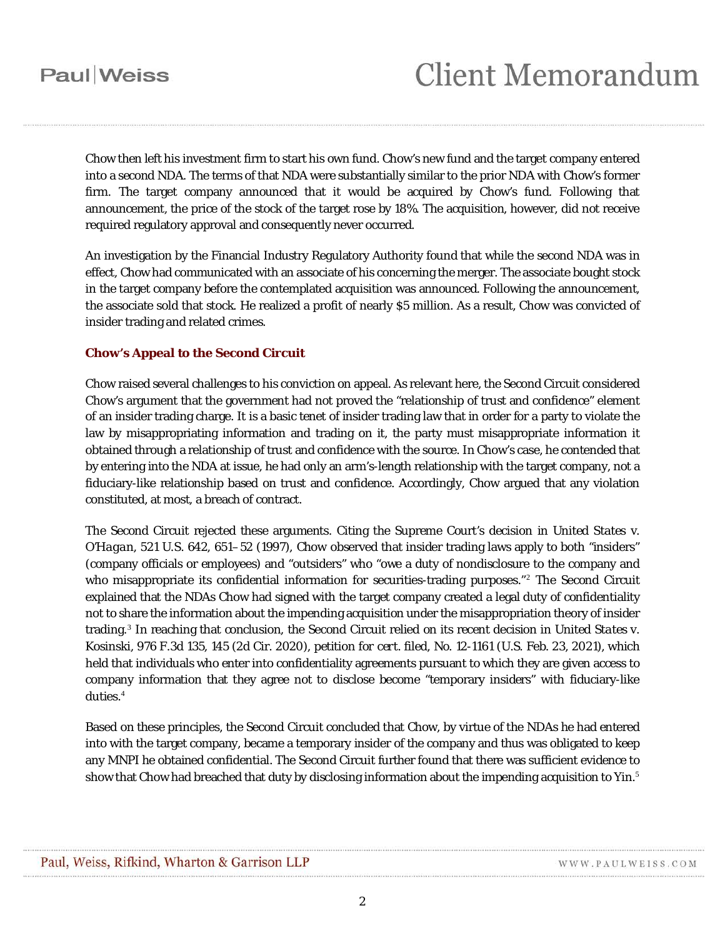Chow then left his investment firm to start his own fund. Chow's new fund and the target company entered into a second NDA. The terms of that NDA were substantially similar to the prior NDA with Chow's former firm. The target company announced that it would be acquired by Chow's fund. Following that announcement, the price of the stock of the target rose by 18%. The acquisition, however, did not receive required regulatory approval and consequently never occurred.

An investigation by the Financial Industry Regulatory Authority found that while the second NDA was in effect, Chow had communicated with an associate of his concerning the merger. The associate bought stock in the target company before the contemplated acquisition was announced. Following the announcement, the associate sold that stock. He realized a profit of nearly \$5 million. As a result, Chow was convicted of insider trading and related crimes.

### **Chow's Appeal to the Second Circuit**

Chow raised several challenges to his conviction on appeal. As relevant here, the Second Circuit considered Chow's argument that the government had not proved the "relationship of trust and confidence" element of an insider trading charge. It is a basic tenet of insider trading law that in order for a party to violate the law by misappropriating information and trading on it, the party must misappropriate information it obtained through a relationship of trust and confidence with the source. In Chow's case, he contended that by entering into the NDA at issue, he had only an arm's-length relationship with the target company, not a fiduciary-like relationship based on trust and confidence. Accordingly, Chow argued that any violation constituted, at most, a breach of contract.

The Second Circuit rejected these arguments. Citing the Supreme Court's decision in *United States* v. *O'Hagan*, 521 U.S. 642, 651–52 (1997), *Chow* observed that insider trading laws apply to both "insiders" (company officials or employees) and "outsiders" who "owe a duty of nondisclosure to the company and who misappropriate its confidential information for securities-trading purposes."<sup>[2](#page-3-1)</sup> The Second Circuit explained that the NDAs Chow had signed with the target company created a legal duty of confidentiality not to share the information about the impending acquisition under the misappropriation theory of insider trading.[3](#page-3-2) In reaching that conclusion, the Second Circuit relied on its recent decision in *United States* v. *Kosinski*, 976 F.3d 135, 145 (2d Cir. 2020), *petition for cert. filed*, No. 12-1161 (U.S. Feb. 23, 2021), which held that individuals who enter into confidentiality agreements pursuant to which they are given access to company information that they agree not to disclose become "temporary insiders" with fiduciary-like duties. [4](#page-3-3)

Based on these principles, the Second Circuit concluded that Chow, by virtue of the NDAs he had entered into with the target company, became a temporary insider of the company and thus was obligated to keep any MNPI he obtained confidential. The Second Circuit further found that there was sufficient evidence to show that Chow had breached that duty by disclosing information about the impending acquisition to Yin.<sup>[5](#page-3-4)</sup>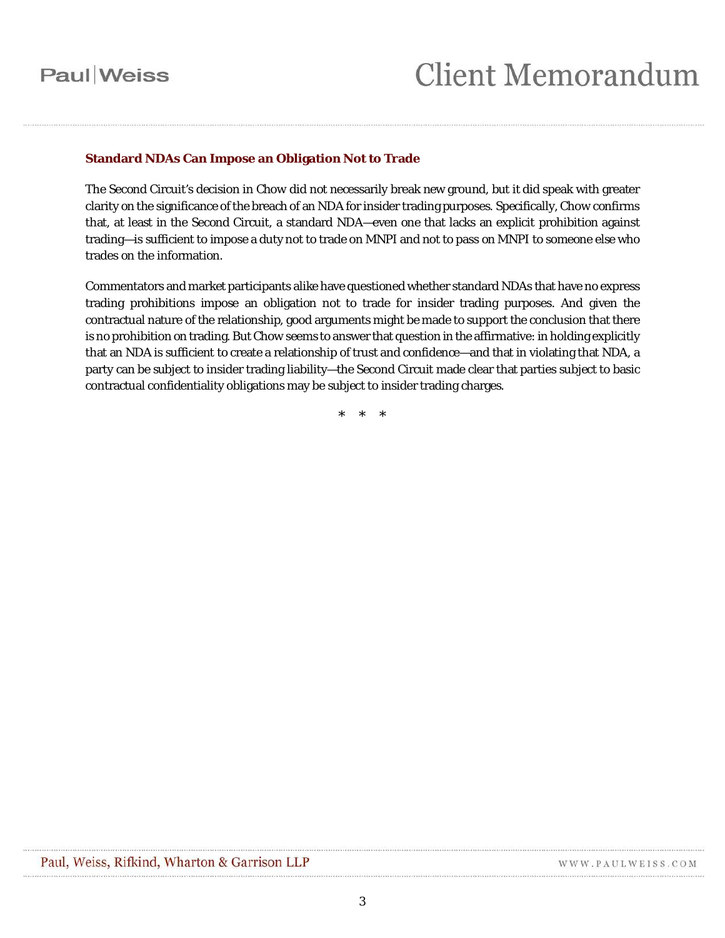### Paul Weiss

# **Client Memorandum**

#### **Standard NDAs Can Impose an Obligation Not to Trade**

The Second Circuit's decision in *Chow* did not necessarily break new ground, but it did speak with greater clarity on the significance of the breach of an NDA for insider trading purposes. Specifically, *Chow* confirms that, at least in the Second Circuit, a standard NDA—even one that lacks an explicit prohibition against trading—is sufficient to impose a duty not to trade on MNPI and not to pass on MNPI to someone else who trades on the information.

Commentators and market participants alike have questioned whether standard NDAs that have no express trading prohibitions impose an obligation not to trade for insider trading purposes. And given the contractual nature of the relationship, good arguments might be made to support the conclusion that there is no prohibition on trading. But *Chow* seems to answer that question in the affirmative: in holding explicitly that an NDA is sufficient to create a relationship of trust and confidence—and that in violating that NDA, a party can be subject to insider trading liability—the Second Circuit made clear that parties subject to basic contractual confidentiality obligations may be subject to insider trading charges.

\* \* \*